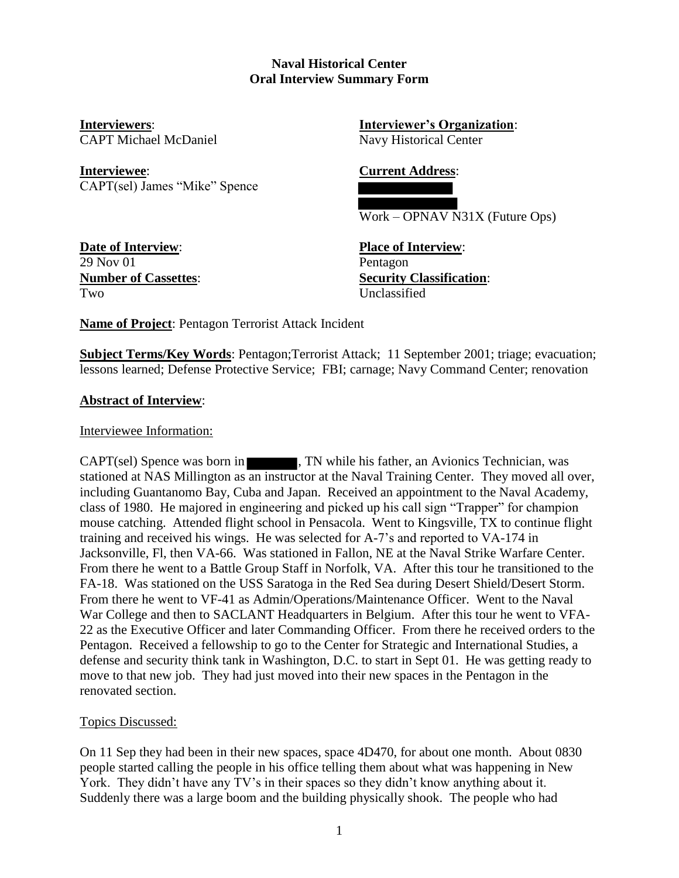### **Naval Historical Center Oral Interview Summary Form**

**Interviewee**: **Current Address**: CAPT(sel) James "Mike" Spence

**Interviewers**: **Interviewer's Organization**: CAPT Michael McDaniel Navy Historical Center

Work – OPNAV N31X (Future Ops)

**Date of Interview**: **Place of Interview**: 29 Nov 01 Pentagon Two Unclassified

**Number of Cassettes**: **Security Classification**:

**Name of Project**: Pentagon Terrorist Attack Incident

**Subject Terms/Key Words: Pentagon;Terrorist Attack: 11 September 2001; triage: evacuation;** lessons learned; Defense Protective Service; FBI; carnage; Navy Command Center; renovation

# **Abstract of Interview**:

Interviewee Information:

CAPT(sel) Spence was born in **TECHNICO**, TN while his father, an Avionics Technician, was stationed at NAS Millington as an instructor at the Naval Training Center. They moved all over, including Guantanomo Bay, Cuba and Japan. Received an appointment to the Naval Academy, class of 1980. He majored in engineering and picked up his call sign "Trapper" for champion mouse catching. Attended flight school in Pensacola. Went to Kingsville, TX to continue flight training and received his wings. He was selected for A-7's and reported to VA-174 in Jacksonville, Fl, then VA-66. Was stationed in Fallon, NE at the Naval Strike Warfare Center. From there he went to a Battle Group Staff in Norfolk, VA. After this tour he transitioned to the FA-18. Was stationed on the USS Saratoga in the Red Sea during Desert Shield/Desert Storm. From there he went to VF-41 as Admin/Operations/Maintenance Officer. Went to the Naval War College and then to SACLANT Headquarters in Belgium. After this tour he went to VFA-22 as the Executive Officer and later Commanding Officer. From there he received orders to the Pentagon. Received a fellowship to go to the Center for Strategic and International Studies, a defense and security think tank in Washington, D.C. to start in Sept 01. He was getting ready to move to that new job. They had just moved into their new spaces in the Pentagon in the renovated section.

# Topics Discussed:

On 11 Sep they had been in their new spaces, space 4D470, for about one month. About 0830 people started calling the people in his office telling them about what was happening in New York. They didn't have any TV's in their spaces so they didn't know anything about it. Suddenly there was a large boom and the building physically shook. The people who had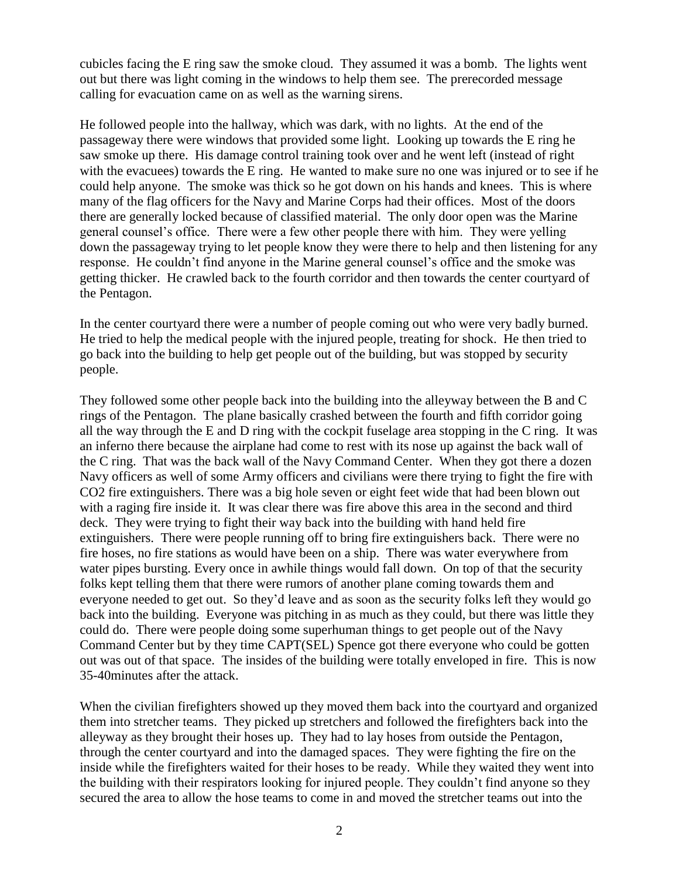cubicles facing the E ring saw the smoke cloud. They assumed it was a bomb. The lights went out but there was light coming in the windows to help them see. The prerecorded message calling for evacuation came on as well as the warning sirens.

He followed people into the hallway, which was dark, with no lights. At the end of the passageway there were windows that provided some light. Looking up towards the E ring he saw smoke up there. His damage control training took over and he went left (instead of right with the evacuees) towards the E ring. He wanted to make sure no one was injured or to see if he could help anyone. The smoke was thick so he got down on his hands and knees. This is where many of the flag officers for the Navy and Marine Corps had their offices. Most of the doors there are generally locked because of classified material. The only door open was the Marine general counsel's office. There were a few other people there with him. They were yelling down the passageway trying to let people know they were there to help and then listening for any response. He couldn't find anyone in the Marine general counsel's office and the smoke was getting thicker. He crawled back to the fourth corridor and then towards the center courtyard of the Pentagon.

In the center courtyard there were a number of people coming out who were very badly burned. He tried to help the medical people with the injured people, treating for shock. He then tried to go back into the building to help get people out of the building, but was stopped by security people.

They followed some other people back into the building into the alleyway between the B and C rings of the Pentagon. The plane basically crashed between the fourth and fifth corridor going all the way through the E and D ring with the cockpit fuselage area stopping in the C ring. It was an inferno there because the airplane had come to rest with its nose up against the back wall of the C ring. That was the back wall of the Navy Command Center. When they got there a dozen Navy officers as well of some Army officers and civilians were there trying to fight the fire with CO2 fire extinguishers. There was a big hole seven or eight feet wide that had been blown out with a raging fire inside it. It was clear there was fire above this area in the second and third deck. They were trying to fight their way back into the building with hand held fire extinguishers. There were people running off to bring fire extinguishers back. There were no fire hoses, no fire stations as would have been on a ship. There was water everywhere from water pipes bursting. Every once in awhile things would fall down. On top of that the security folks kept telling them that there were rumors of another plane coming towards them and everyone needed to get out. So they'd leave and as soon as the security folks left they would go back into the building. Everyone was pitching in as much as they could, but there was little they could do. There were people doing some superhuman things to get people out of the Navy Command Center but by they time CAPT(SEL) Spence got there everyone who could be gotten out was out of that space. The insides of the building were totally enveloped in fire. This is now 35-40minutes after the attack.

When the civilian firefighters showed up they moved them back into the courtyard and organized them into stretcher teams. They picked up stretchers and followed the firefighters back into the alleyway as they brought their hoses up. They had to lay hoses from outside the Pentagon, through the center courtyard and into the damaged spaces. They were fighting the fire on the inside while the firefighters waited for their hoses to be ready. While they waited they went into the building with their respirators looking for injured people. They couldn't find anyone so they secured the area to allow the hose teams to come in and moved the stretcher teams out into the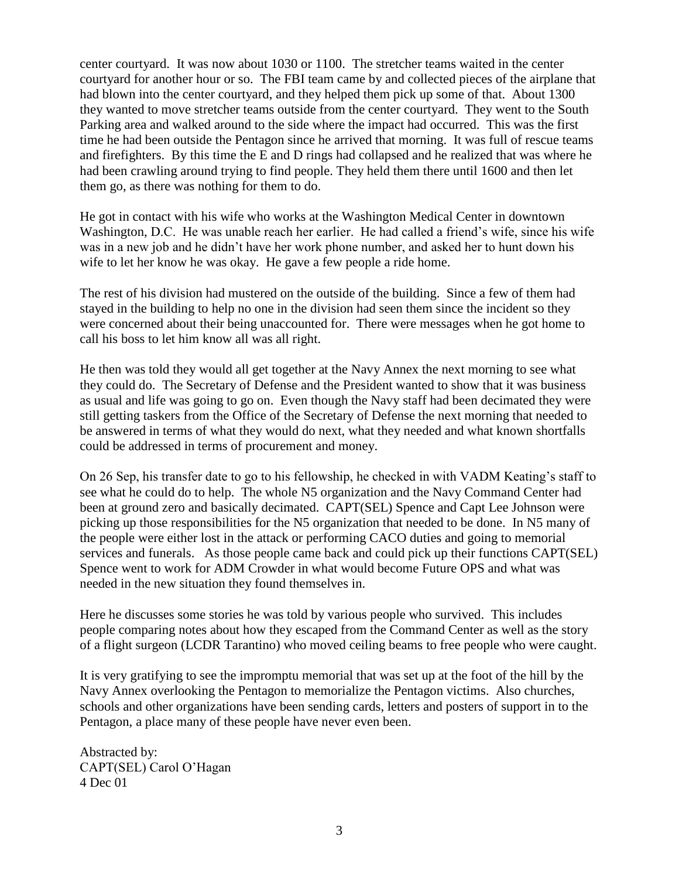center courtyard. It was now about 1030 or 1100. The stretcher teams waited in the center courtyard for another hour or so. The FBI team came by and collected pieces of the airplane that had blown into the center courtyard, and they helped them pick up some of that. About 1300 they wanted to move stretcher teams outside from the center courtyard. They went to the South Parking area and walked around to the side where the impact had occurred. This was the first time he had been outside the Pentagon since he arrived that morning. It was full of rescue teams and firefighters. By this time the E and D rings had collapsed and he realized that was where he had been crawling around trying to find people. They held them there until 1600 and then let them go, as there was nothing for them to do.

He got in contact with his wife who works at the Washington Medical Center in downtown Washington, D.C. He was unable reach her earlier. He had called a friend's wife, since his wife was in a new job and he didn't have her work phone number, and asked her to hunt down his wife to let her know he was okay. He gave a few people a ride home.

The rest of his division had mustered on the outside of the building. Since a few of them had stayed in the building to help no one in the division had seen them since the incident so they were concerned about their being unaccounted for. There were messages when he got home to call his boss to let him know all was all right.

He then was told they would all get together at the Navy Annex the next morning to see what they could do. The Secretary of Defense and the President wanted to show that it was business as usual and life was going to go on. Even though the Navy staff had been decimated they were still getting taskers from the Office of the Secretary of Defense the next morning that needed to be answered in terms of what they would do next, what they needed and what known shortfalls could be addressed in terms of procurement and money.

On 26 Sep, his transfer date to go to his fellowship, he checked in with VADM Keating's staff to see what he could do to help. The whole N5 organization and the Navy Command Center had been at ground zero and basically decimated. CAPT(SEL) Spence and Capt Lee Johnson were picking up those responsibilities for the N5 organization that needed to be done. In N5 many of the people were either lost in the attack or performing CACO duties and going to memorial services and funerals. As those people came back and could pick up their functions CAPT(SEL) Spence went to work for ADM Crowder in what would become Future OPS and what was needed in the new situation they found themselves in.

Here he discusses some stories he was told by various people who survived. This includes people comparing notes about how they escaped from the Command Center as well as the story of a flight surgeon (LCDR Tarantino) who moved ceiling beams to free people who were caught.

It is very gratifying to see the impromptu memorial that was set up at the foot of the hill by the Navy Annex overlooking the Pentagon to memorialize the Pentagon victims. Also churches, schools and other organizations have been sending cards, letters and posters of support in to the Pentagon, a place many of these people have never even been.

Abstracted by: CAPT(SEL) Carol O'Hagan 4 Dec 01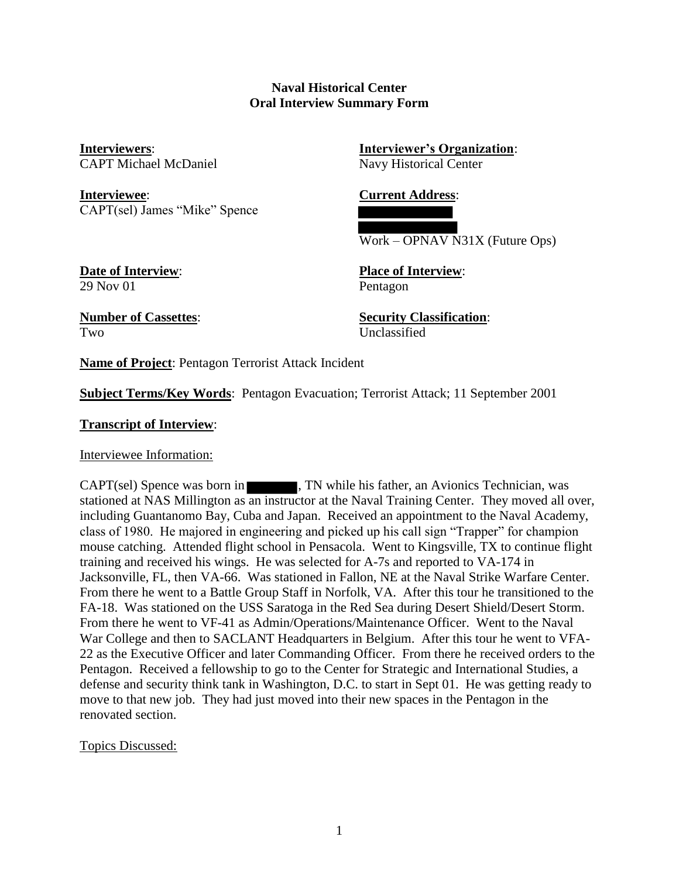### **Naval Historical Center Oral Interview Summary Form**

CAPT Michael McDaniel Navy Historical Center

**Interviewee**: **Current Address**: CAPT(sel) James "Mike" Spence

**Interviewers**: **Interviewer's Organization**:

Work – OPNAV N31X (Future Ops)

**Date of Interview**: **Place of Interview**: 29 Nov 01 Pentagon

Two Unclassified

**Number of Cassettes**: **Security Classification**:

**Name of Project**: Pentagon Terrorist Attack Incident

**Subject Terms/Key Words**: Pentagon Evacuation; Terrorist Attack; 11 September 2001

**Transcript of Interview**:

Interviewee Information:

CAPT(sel) Spence was born in **The set of the Second August**, TN while his father, an Avionics Technician, was stationed at NAS Millington as an instructor at the Naval Training Center. They moved all over, including Guantanomo Bay, Cuba and Japan. Received an appointment to the Naval Academy, class of 1980. He majored in engineering and picked up his call sign "Trapper" for champion mouse catching. Attended flight school in Pensacola. Went to Kingsville, TX to continue flight training and received his wings. He was selected for A-7s and reported to VA-174 in Jacksonville, FL, then VA-66. Was stationed in Fallon, NE at the Naval Strike Warfare Center. From there he went to a Battle Group Staff in Norfolk, VA. After this tour he transitioned to the FA-18. Was stationed on the USS Saratoga in the Red Sea during Desert Shield/Desert Storm. From there he went to VF-41 as Admin/Operations/Maintenance Officer. Went to the Naval War College and then to SACLANT Headquarters in Belgium. After this tour he went to VFA-22 as the Executive Officer and later Commanding Officer. From there he received orders to the Pentagon. Received a fellowship to go to the Center for Strategic and International Studies, a defense and security think tank in Washington, D.C. to start in Sept 01. He was getting ready to move to that new job. They had just moved into their new spaces in the Pentagon in the renovated section.

Topics Discussed: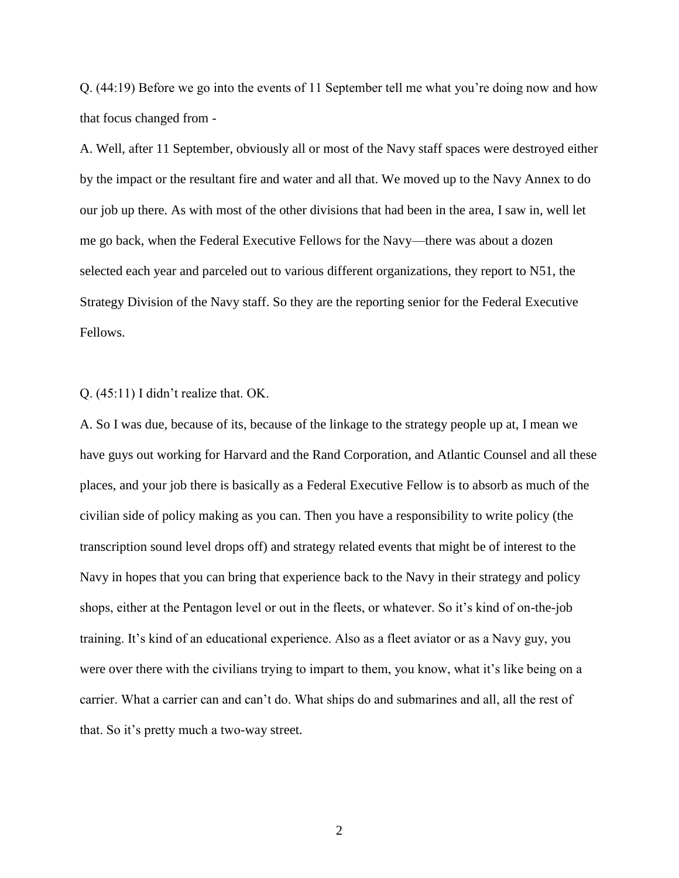Q. (44:19) Before we go into the events of 11 September tell me what you're doing now and how that focus changed from -

A. Well, after 11 September, obviously all or most of the Navy staff spaces were destroyed either by the impact or the resultant fire and water and all that. We moved up to the Navy Annex to do our job up there. As with most of the other divisions that had been in the area, I saw in, well let me go back, when the Federal Executive Fellows for the Navy—there was about a dozen selected each year and parceled out to various different organizations, they report to N51, the Strategy Division of the Navy staff. So they are the reporting senior for the Federal Executive Fellows.

Q. (45:11) I didn't realize that. OK.

A. So I was due, because of its, because of the linkage to the strategy people up at, I mean we have guys out working for Harvard and the Rand Corporation, and Atlantic Counsel and all these places, and your job there is basically as a Federal Executive Fellow is to absorb as much of the civilian side of policy making as you can. Then you have a responsibility to write policy (the transcription sound level drops off) and strategy related events that might be of interest to the Navy in hopes that you can bring that experience back to the Navy in their strategy and policy shops, either at the Pentagon level or out in the fleets, or whatever. So it's kind of on-the-job training. It's kind of an educational experience. Also as a fleet aviator or as a Navy guy, you were over there with the civilians trying to impart to them, you know, what it's like being on a carrier. What a carrier can and can't do. What ships do and submarines and all, all the rest of that. So it's pretty much a two-way street.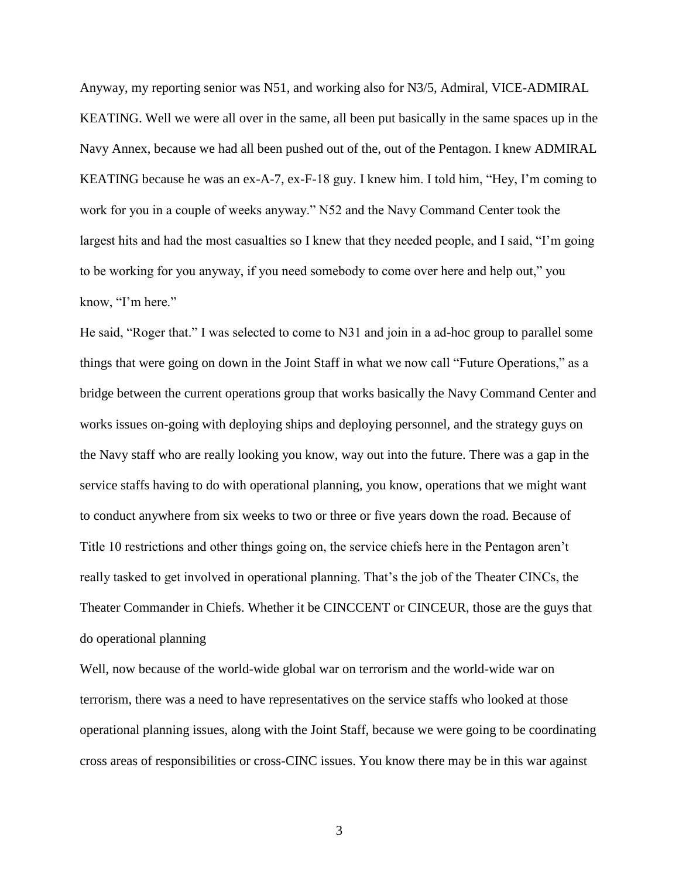Anyway, my reporting senior was N51, and working also for N3/5, Admiral, VICE-ADMIRAL KEATING. Well we were all over in the same, all been put basically in the same spaces up in the Navy Annex, because we had all been pushed out of the, out of the Pentagon. I knew ADMIRAL KEATING because he was an ex-A-7, ex-F-18 guy. I knew him. I told him, "Hey, I'm coming to work for you in a couple of weeks anyway." N52 and the Navy Command Center took the largest hits and had the most casualties so I knew that they needed people, and I said, "I'm going to be working for you anyway, if you need somebody to come over here and help out," you know, "I'm here."

He said, "Roger that." I was selected to come to N31 and join in a ad-hoc group to parallel some things that were going on down in the Joint Staff in what we now call "Future Operations," as a bridge between the current operations group that works basically the Navy Command Center and works issues on-going with deploying ships and deploying personnel, and the strategy guys on the Navy staff who are really looking you know, way out into the future. There was a gap in the service staffs having to do with operational planning, you know, operations that we might want to conduct anywhere from six weeks to two or three or five years down the road. Because of Title 10 restrictions and other things going on, the service chiefs here in the Pentagon aren't really tasked to get involved in operational planning. That's the job of the Theater CINCs, the Theater Commander in Chiefs. Whether it be CINCCENT or CINCEUR, those are the guys that do operational planning

Well, now because of the world-wide global war on terrorism and the world-wide war on terrorism, there was a need to have representatives on the service staffs who looked at those operational planning issues, along with the Joint Staff, because we were going to be coordinating cross areas of responsibilities or cross-CINC issues. You know there may be in this war against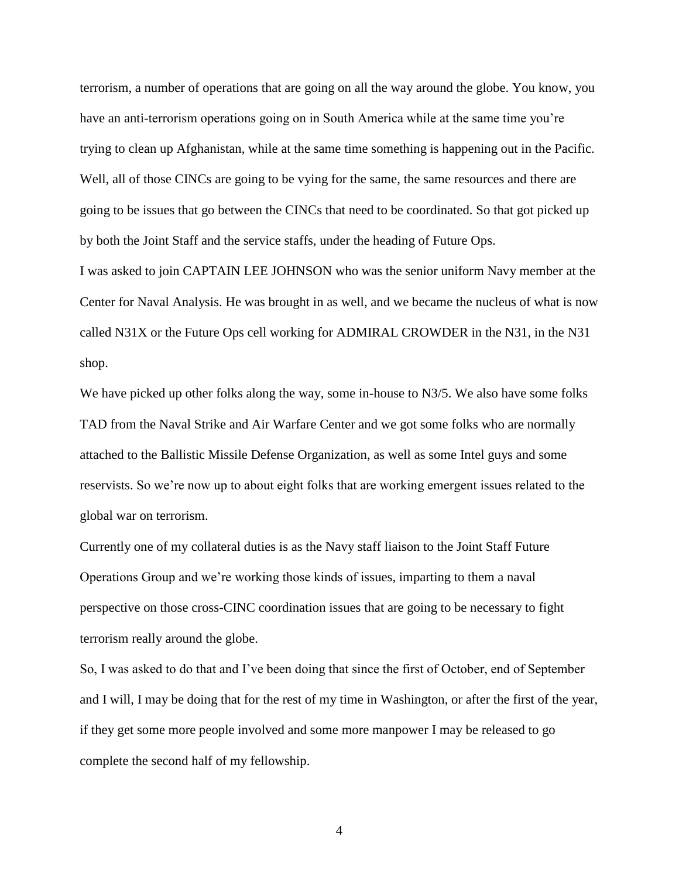terrorism, a number of operations that are going on all the way around the globe. You know, you have an anti-terrorism operations going on in South America while at the same time you're trying to clean up Afghanistan, while at the same time something is happening out in the Pacific. Well, all of those CINCs are going to be vying for the same, the same resources and there are going to be issues that go between the CINCs that need to be coordinated. So that got picked up by both the Joint Staff and the service staffs, under the heading of Future Ops.

I was asked to join CAPTAIN LEE JOHNSON who was the senior uniform Navy member at the Center for Naval Analysis. He was brought in as well, and we became the nucleus of what is now called N31X or the Future Ops cell working for ADMIRAL CROWDER in the N31, in the N31 shop.

We have picked up other folks along the way, some in-house to N3/5. We also have some folks TAD from the Naval Strike and Air Warfare Center and we got some folks who are normally attached to the Ballistic Missile Defense Organization, as well as some Intel guys and some reservists. So we're now up to about eight folks that are working emergent issues related to the global war on terrorism.

Currently one of my collateral duties is as the Navy staff liaison to the Joint Staff Future Operations Group and we're working those kinds of issues, imparting to them a naval perspective on those cross-CINC coordination issues that are going to be necessary to fight terrorism really around the globe.

So, I was asked to do that and I've been doing that since the first of October, end of September and I will, I may be doing that for the rest of my time in Washington, or after the first of the year, if they get some more people involved and some more manpower I may be released to go complete the second half of my fellowship.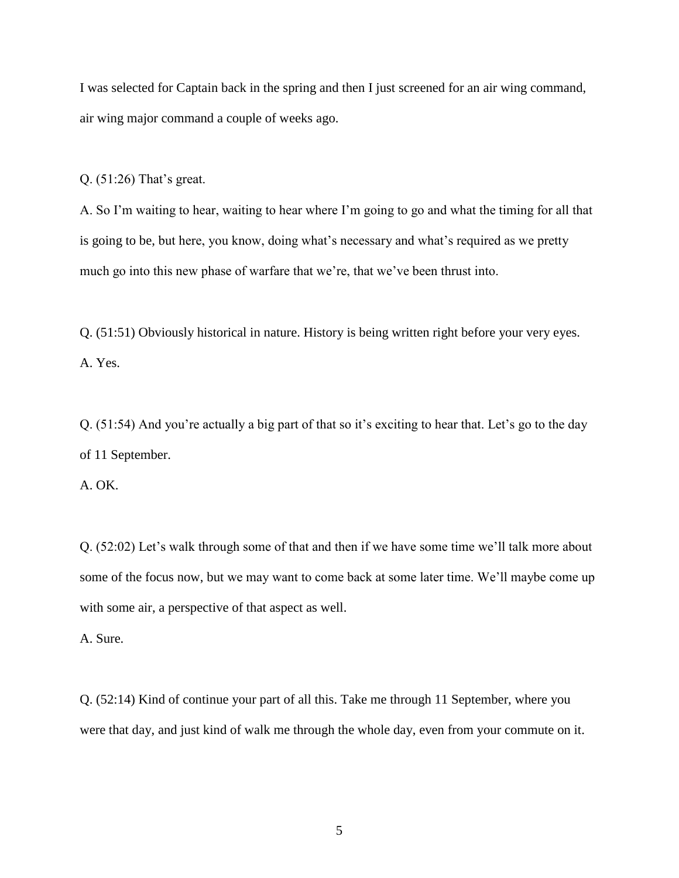I was selected for Captain back in the spring and then I just screened for an air wing command, air wing major command a couple of weeks ago.

Q. (51:26) That's great.

A. So I'm waiting to hear, waiting to hear where I'm going to go and what the timing for all that is going to be, but here, you know, doing what's necessary and what's required as we pretty much go into this new phase of warfare that we're, that we've been thrust into.

Q. (51:51) Obviously historical in nature. History is being written right before your very eyes. A. Yes.

Q. (51:54) And you're actually a big part of that so it's exciting to hear that. Let's go to the day of 11 September.

A. OK.

Q. (52:02) Let's walk through some of that and then if we have some time we'll talk more about some of the focus now, but we may want to come back at some later time. We'll maybe come up with some air, a perspective of that aspect as well.

A. Sure.

Q. (52:14) Kind of continue your part of all this. Take me through 11 September, where you were that day, and just kind of walk me through the whole day, even from your commute on it.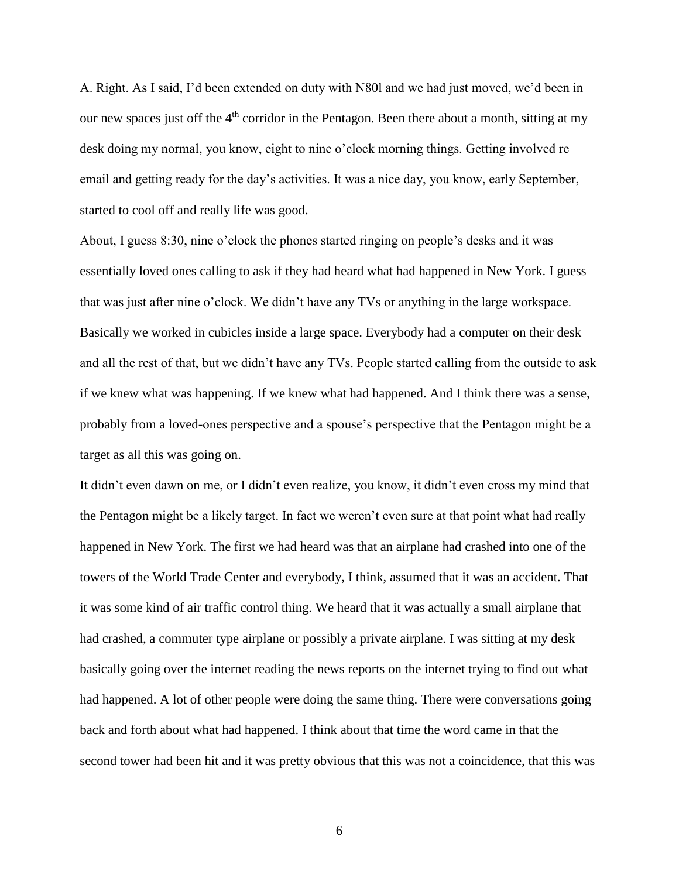A. Right. As I said, I'd been extended on duty with N80l and we had just moved, we'd been in our new spaces just off the  $4<sup>th</sup>$  corridor in the Pentagon. Been there about a month, sitting at my desk doing my normal, you know, eight to nine o'clock morning things. Getting involved re email and getting ready for the day's activities. It was a nice day, you know, early September, started to cool off and really life was good.

About, I guess 8:30, nine o'clock the phones started ringing on people's desks and it was essentially loved ones calling to ask if they had heard what had happened in New York. I guess that was just after nine o'clock. We didn't have any TVs or anything in the large workspace. Basically we worked in cubicles inside a large space. Everybody had a computer on their desk and all the rest of that, but we didn't have any TVs. People started calling from the outside to ask if we knew what was happening. If we knew what had happened. And I think there was a sense, probably from a loved-ones perspective and a spouse's perspective that the Pentagon might be a target as all this was going on.

It didn't even dawn on me, or I didn't even realize, you know, it didn't even cross my mind that the Pentagon might be a likely target. In fact we weren't even sure at that point what had really happened in New York. The first we had heard was that an airplane had crashed into one of the towers of the World Trade Center and everybody, I think, assumed that it was an accident. That it was some kind of air traffic control thing. We heard that it was actually a small airplane that had crashed, a commuter type airplane or possibly a private airplane. I was sitting at my desk basically going over the internet reading the news reports on the internet trying to find out what had happened. A lot of other people were doing the same thing. There were conversations going back and forth about what had happened. I think about that time the word came in that the second tower had been hit and it was pretty obvious that this was not a coincidence, that this was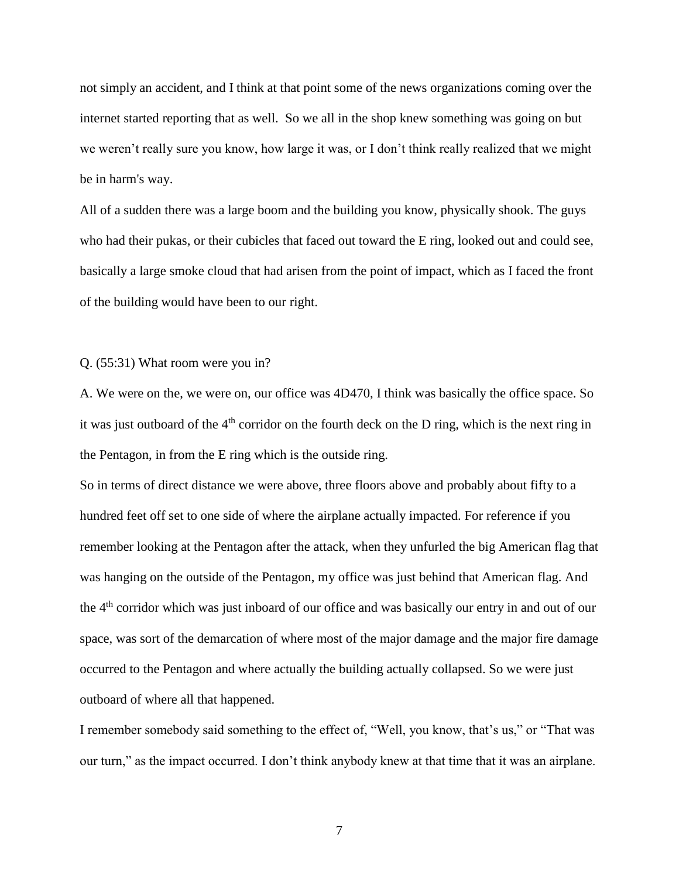not simply an accident, and I think at that point some of the news organizations coming over the internet started reporting that as well. So we all in the shop knew something was going on but we weren't really sure you know, how large it was, or I don't think really realized that we might be in harm's way.

All of a sudden there was a large boom and the building you know, physically shook. The guys who had their pukas, or their cubicles that faced out toward the E ring, looked out and could see, basically a large smoke cloud that had arisen from the point of impact, which as I faced the front of the building would have been to our right.

### Q. (55:31) What room were you in?

A. We were on the, we were on, our office was 4D470, I think was basically the office space. So it was just outboard of the  $4<sup>th</sup>$  corridor on the fourth deck on the D ring, which is the next ring in the Pentagon, in from the E ring which is the outside ring.

So in terms of direct distance we were above, three floors above and probably about fifty to a hundred feet off set to one side of where the airplane actually impacted. For reference if you remember looking at the Pentagon after the attack, when they unfurled the big American flag that was hanging on the outside of the Pentagon, my office was just behind that American flag. And the 4<sup>th</sup> corridor which was just inboard of our office and was basically our entry in and out of our space, was sort of the demarcation of where most of the major damage and the major fire damage occurred to the Pentagon and where actually the building actually collapsed. So we were just outboard of where all that happened.

I remember somebody said something to the effect of, "Well, you know, that's us," or "That was our turn," as the impact occurred. I don't think anybody knew at that time that it was an airplane.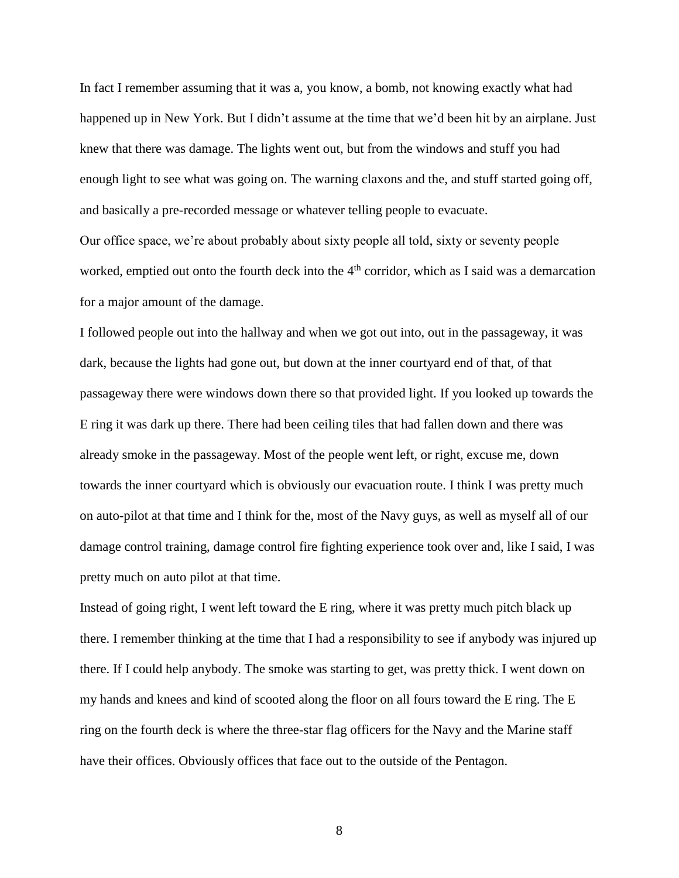In fact I remember assuming that it was a, you know, a bomb, not knowing exactly what had happened up in New York. But I didn't assume at the time that we'd been hit by an airplane. Just knew that there was damage. The lights went out, but from the windows and stuff you had enough light to see what was going on. The warning claxons and the, and stuff started going off, and basically a pre-recorded message or whatever telling people to evacuate.

Our office space, we're about probably about sixty people all told, sixty or seventy people worked, emptied out onto the fourth deck into the 4<sup>th</sup> corridor, which as I said was a demarcation for a major amount of the damage.

I followed people out into the hallway and when we got out into, out in the passageway, it was dark, because the lights had gone out, but down at the inner courtyard end of that, of that passageway there were windows down there so that provided light. If you looked up towards the E ring it was dark up there. There had been ceiling tiles that had fallen down and there was already smoke in the passageway. Most of the people went left, or right, excuse me, down towards the inner courtyard which is obviously our evacuation route. I think I was pretty much on auto-pilot at that time and I think for the, most of the Navy guys, as well as myself all of our damage control training, damage control fire fighting experience took over and, like I said, I was pretty much on auto pilot at that time.

Instead of going right, I went left toward the E ring, where it was pretty much pitch black up there. I remember thinking at the time that I had a responsibility to see if anybody was injured up there. If I could help anybody. The smoke was starting to get, was pretty thick. I went down on my hands and knees and kind of scooted along the floor on all fours toward the E ring. The E ring on the fourth deck is where the three-star flag officers for the Navy and the Marine staff have their offices. Obviously offices that face out to the outside of the Pentagon.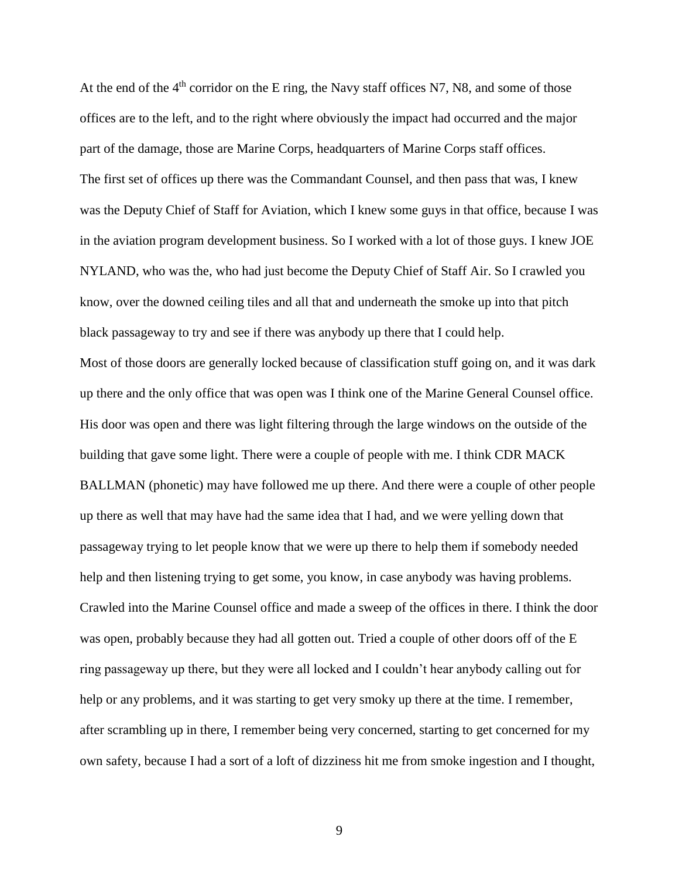At the end of the  $4<sup>th</sup>$  corridor on the E ring, the Navy staff offices N7, N8, and some of those offices are to the left, and to the right where obviously the impact had occurred and the major part of the damage, those are Marine Corps, headquarters of Marine Corps staff offices. The first set of offices up there was the Commandant Counsel, and then pass that was, I knew was the Deputy Chief of Staff for Aviation, which I knew some guys in that office, because I was in the aviation program development business. So I worked with a lot of those guys. I knew JOE NYLAND, who was the, who had just become the Deputy Chief of Staff Air. So I crawled you know, over the downed ceiling tiles and all that and underneath the smoke up into that pitch black passageway to try and see if there was anybody up there that I could help. Most of those doors are generally locked because of classification stuff going on, and it was dark up there and the only office that was open was I think one of the Marine General Counsel office. His door was open and there was light filtering through the large windows on the outside of the building that gave some light. There were a couple of people with me. I think CDR MACK BALLMAN (phonetic) may have followed me up there. And there were a couple of other people up there as well that may have had the same idea that I had, and we were yelling down that passageway trying to let people know that we were up there to help them if somebody needed help and then listening trying to get some, you know, in case anybody was having problems. Crawled into the Marine Counsel office and made a sweep of the offices in there. I think the door was open, probably because they had all gotten out. Tried a couple of other doors off of the E ring passageway up there, but they were all locked and I couldn't hear anybody calling out for help or any problems, and it was starting to get very smoky up there at the time. I remember, after scrambling up in there, I remember being very concerned, starting to get concerned for my own safety, because I had a sort of a loft of dizziness hit me from smoke ingestion and I thought,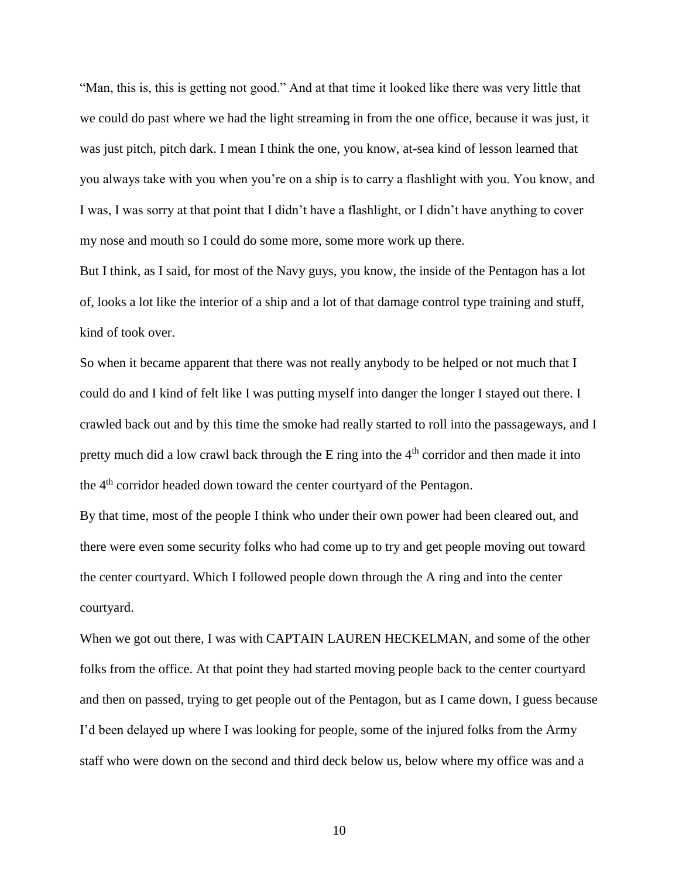"Man, this is, this is getting not good." And at that time it looked like there was very little that we could do past where we had the light streaming in from the one office, because it was just, it was just pitch, pitch dark. I mean I think the one, you know, at-sea kind of lesson learned that you always take with you when you're on a ship is to carry a flashlight with you. You know, and I was, I was sorry at that point that I didn't have a flashlight, or I didn't have anything to cover my nose and mouth so I could do some more, some more work up there.

But I think, as I said, for most of the Navy guys, you know, the inside of the Pentagon has a lot of, looks a lot like the interior of a ship and a lot of that damage control type training and stuff, kind of took over.

So when it became apparent that there was not really anybody to be helped or not much that I could do and I kind of felt like I was putting myself into danger the longer I stayed out there. I crawled back out and by this time the smoke had really started to roll into the passageways, and I pretty much did a low crawl back through the  $E$  ring into the  $4<sup>th</sup>$  corridor and then made it into the 4<sup>th</sup> corridor headed down toward the center courtyard of the Pentagon.

By that time, most of the people I think who under their own power had been cleared out, and there were even some security folks who had come up to try and get people moving out toward the center courtyard. Which I followed people down through the A ring and into the center courtyard.

When we got out there, I was with CAPTAIN LAUREN HECKELMAN, and some of the other folks from the office. At that point they had started moving people back to the center courtyard and then on passed, trying to get people out of the Pentagon, but as I came down, I guess because I'd been delayed up where I was looking for people, some of the injured folks from the Army staff who were down on the second and third deck below us, below where my office was and a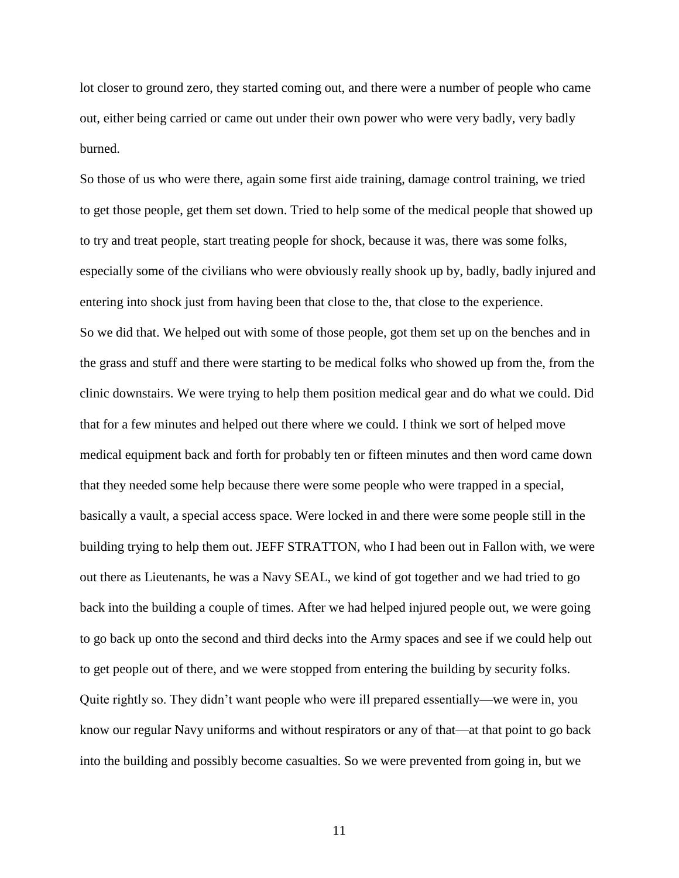lot closer to ground zero, they started coming out, and there were a number of people who came out, either being carried or came out under their own power who were very badly, very badly burned.

So those of us who were there, again some first aide training, damage control training, we tried to get those people, get them set down. Tried to help some of the medical people that showed up to try and treat people, start treating people for shock, because it was, there was some folks, especially some of the civilians who were obviously really shook up by, badly, badly injured and entering into shock just from having been that close to the, that close to the experience. So we did that. We helped out with some of those people, got them set up on the benches and in the grass and stuff and there were starting to be medical folks who showed up from the, from the clinic downstairs. We were trying to help them position medical gear and do what we could. Did that for a few minutes and helped out there where we could. I think we sort of helped move medical equipment back and forth for probably ten or fifteen minutes and then word came down that they needed some help because there were some people who were trapped in a special, basically a vault, a special access space. Were locked in and there were some people still in the building trying to help them out. JEFF STRATTON, who I had been out in Fallon with, we were out there as Lieutenants, he was a Navy SEAL, we kind of got together and we had tried to go back into the building a couple of times. After we had helped injured people out, we were going to go back up onto the second and third decks into the Army spaces and see if we could help out to get people out of there, and we were stopped from entering the building by security folks. Quite rightly so. They didn't want people who were ill prepared essentially—we were in, you know our regular Navy uniforms and without respirators or any of that—at that point to go back into the building and possibly become casualties. So we were prevented from going in, but we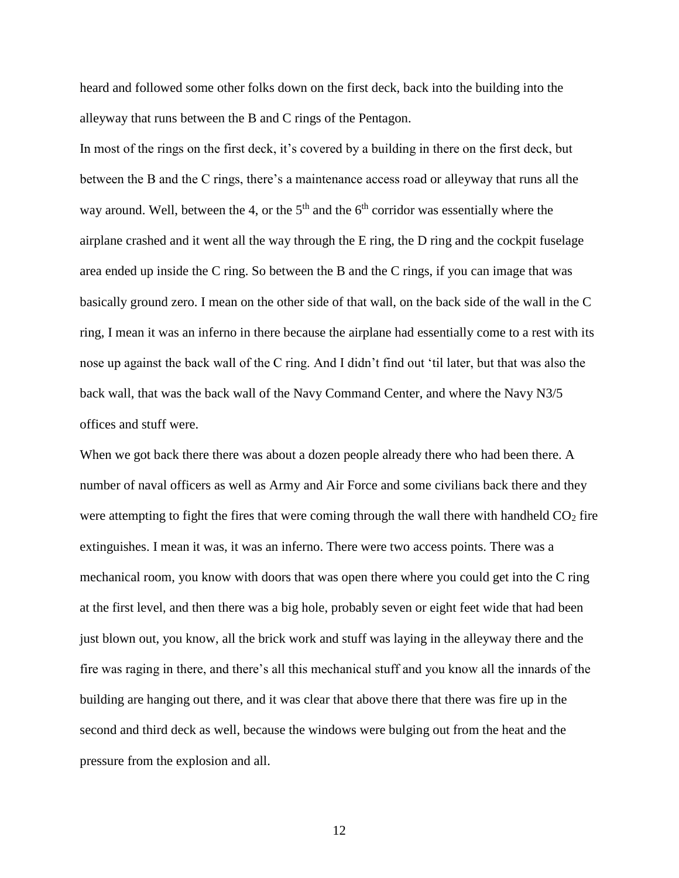heard and followed some other folks down on the first deck, back into the building into the alleyway that runs between the B and C rings of the Pentagon.

In most of the rings on the first deck, it's covered by a building in there on the first deck, but between the B and the C rings, there's a maintenance access road or alleyway that runs all the way around. Well, between the 4, or the  $5<sup>th</sup>$  and the  $6<sup>th</sup>$  corridor was essentially where the airplane crashed and it went all the way through the E ring, the D ring and the cockpit fuselage area ended up inside the C ring. So between the B and the C rings, if you can image that was basically ground zero. I mean on the other side of that wall, on the back side of the wall in the C ring, I mean it was an inferno in there because the airplane had essentially come to a rest with its nose up against the back wall of the C ring. And I didn't find out 'til later, but that was also the back wall, that was the back wall of the Navy Command Center, and where the Navy N3/5 offices and stuff were.

When we got back there there was about a dozen people already there who had been there. A number of naval officers as well as Army and Air Force and some civilians back there and they were attempting to fight the fires that were coming through the wall there with handheld  $CO<sub>2</sub>$  fire extinguishes. I mean it was, it was an inferno. There were two access points. There was a mechanical room, you know with doors that was open there where you could get into the C ring at the first level, and then there was a big hole, probably seven or eight feet wide that had been just blown out, you know, all the brick work and stuff was laying in the alleyway there and the fire was raging in there, and there's all this mechanical stuff and you know all the innards of the building are hanging out there, and it was clear that above there that there was fire up in the second and third deck as well, because the windows were bulging out from the heat and the pressure from the explosion and all.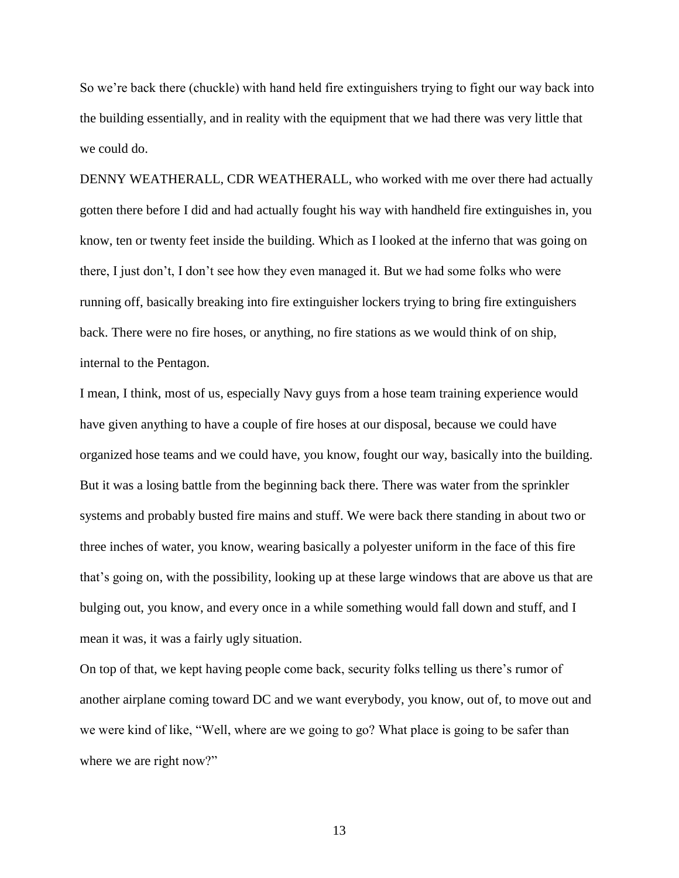So we're back there (chuckle) with hand held fire extinguishers trying to fight our way back into the building essentially, and in reality with the equipment that we had there was very little that we could do.

DENNY WEATHERALL, CDR WEATHERALL, who worked with me over there had actually gotten there before I did and had actually fought his way with handheld fire extinguishes in, you know, ten or twenty feet inside the building. Which as I looked at the inferno that was going on there, I just don't, I don't see how they even managed it. But we had some folks who were running off, basically breaking into fire extinguisher lockers trying to bring fire extinguishers back. There were no fire hoses, or anything, no fire stations as we would think of on ship, internal to the Pentagon.

I mean, I think, most of us, especially Navy guys from a hose team training experience would have given anything to have a couple of fire hoses at our disposal, because we could have organized hose teams and we could have, you know, fought our way, basically into the building. But it was a losing battle from the beginning back there. There was water from the sprinkler systems and probably busted fire mains and stuff. We were back there standing in about two or three inches of water, you know, wearing basically a polyester uniform in the face of this fire that's going on, with the possibility, looking up at these large windows that are above us that are bulging out, you know, and every once in a while something would fall down and stuff, and I mean it was, it was a fairly ugly situation.

On top of that, we kept having people come back, security folks telling us there's rumor of another airplane coming toward DC and we want everybody, you know, out of, to move out and we were kind of like, "Well, where are we going to go? What place is going to be safer than where we are right now?"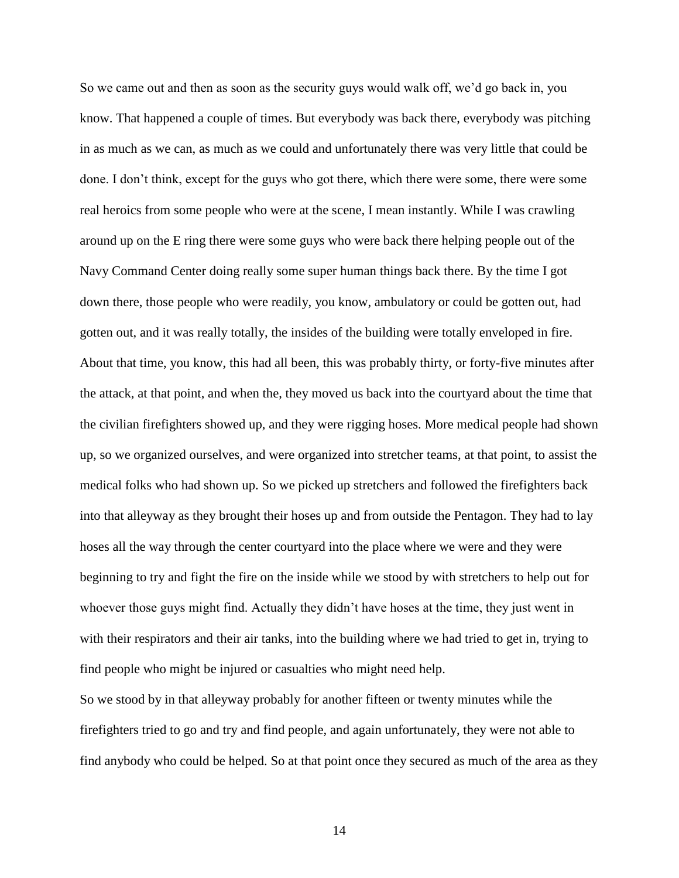So we came out and then as soon as the security guys would walk off, we'd go back in, you know. That happened a couple of times. But everybody was back there, everybody was pitching in as much as we can, as much as we could and unfortunately there was very little that could be done. I don't think, except for the guys who got there, which there were some, there were some real heroics from some people who were at the scene, I mean instantly. While I was crawling around up on the E ring there were some guys who were back there helping people out of the Navy Command Center doing really some super human things back there. By the time I got down there, those people who were readily, you know, ambulatory or could be gotten out, had gotten out, and it was really totally, the insides of the building were totally enveloped in fire. About that time, you know, this had all been, this was probably thirty, or forty-five minutes after the attack, at that point, and when the, they moved us back into the courtyard about the time that the civilian firefighters showed up, and they were rigging hoses. More medical people had shown up, so we organized ourselves, and were organized into stretcher teams, at that point, to assist the medical folks who had shown up. So we picked up stretchers and followed the firefighters back into that alleyway as they brought their hoses up and from outside the Pentagon. They had to lay hoses all the way through the center courtyard into the place where we were and they were beginning to try and fight the fire on the inside while we stood by with stretchers to help out for whoever those guys might find. Actually they didn't have hoses at the time, they just went in with their respirators and their air tanks, into the building where we had tried to get in, trying to find people who might be injured or casualties who might need help.

So we stood by in that alleyway probably for another fifteen or twenty minutes while the firefighters tried to go and try and find people, and again unfortunately, they were not able to find anybody who could be helped. So at that point once they secured as much of the area as they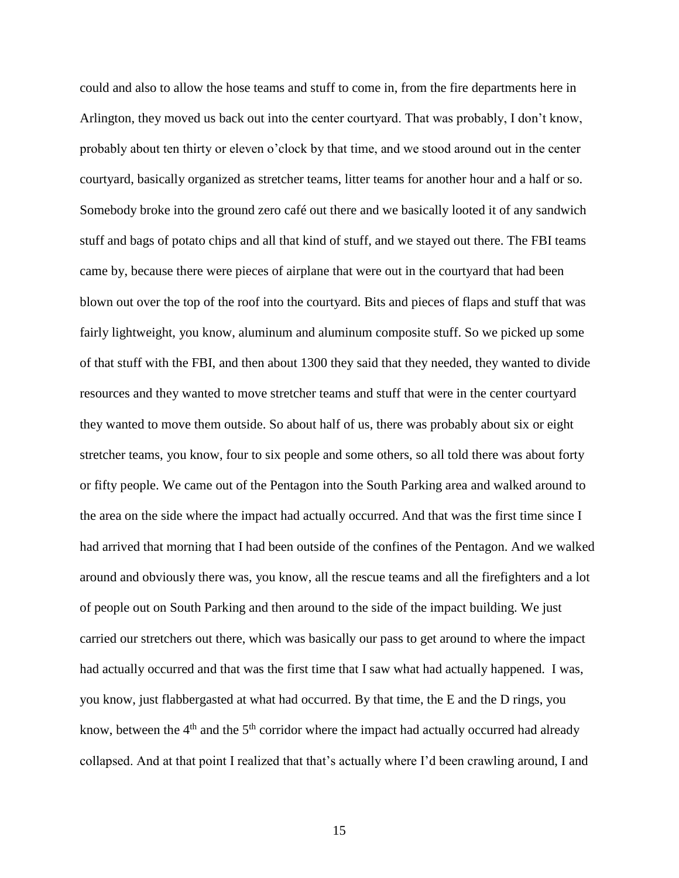could and also to allow the hose teams and stuff to come in, from the fire departments here in Arlington, they moved us back out into the center courtyard. That was probably, I don't know, probably about ten thirty or eleven o'clock by that time, and we stood around out in the center courtyard, basically organized as stretcher teams, litter teams for another hour and a half or so. Somebody broke into the ground zero café out there and we basically looted it of any sandwich stuff and bags of potato chips and all that kind of stuff, and we stayed out there. The FBI teams came by, because there were pieces of airplane that were out in the courtyard that had been blown out over the top of the roof into the courtyard. Bits and pieces of flaps and stuff that was fairly lightweight, you know, aluminum and aluminum composite stuff. So we picked up some of that stuff with the FBI, and then about 1300 they said that they needed, they wanted to divide resources and they wanted to move stretcher teams and stuff that were in the center courtyard they wanted to move them outside. So about half of us, there was probably about six or eight stretcher teams, you know, four to six people and some others, so all told there was about forty or fifty people. We came out of the Pentagon into the South Parking area and walked around to the area on the side where the impact had actually occurred. And that was the first time since I had arrived that morning that I had been outside of the confines of the Pentagon. And we walked around and obviously there was, you know, all the rescue teams and all the firefighters and a lot of people out on South Parking and then around to the side of the impact building. We just carried our stretchers out there, which was basically our pass to get around to where the impact had actually occurred and that was the first time that I saw what had actually happened. I was, you know, just flabbergasted at what had occurred. By that time, the E and the D rings, you know, between the  $4<sup>th</sup>$  and the  $5<sup>th</sup>$  corridor where the impact had actually occurred had already collapsed. And at that point I realized that that's actually where I'd been crawling around, I and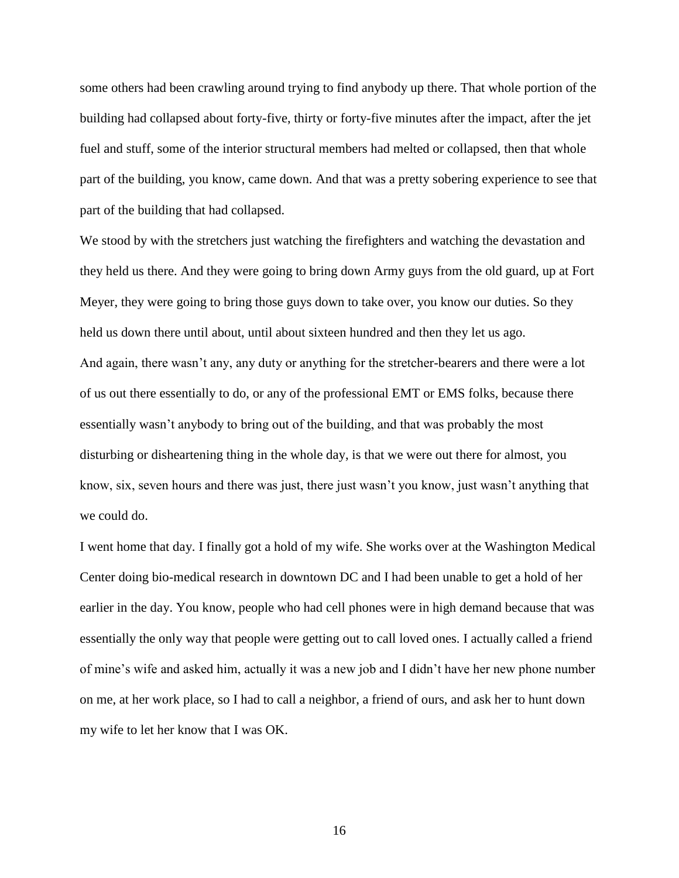some others had been crawling around trying to find anybody up there. That whole portion of the building had collapsed about forty-five, thirty or forty-five minutes after the impact, after the jet fuel and stuff, some of the interior structural members had melted or collapsed, then that whole part of the building, you know, came down. And that was a pretty sobering experience to see that part of the building that had collapsed.

We stood by with the stretchers just watching the firefighters and watching the devastation and they held us there. And they were going to bring down Army guys from the old guard, up at Fort Meyer, they were going to bring those guys down to take over, you know our duties. So they held us down there until about, until about sixteen hundred and then they let us ago. And again, there wasn't any, any duty or anything for the stretcher-bearers and there were a lot of us out there essentially to do, or any of the professional EMT or EMS folks, because there essentially wasn't anybody to bring out of the building, and that was probably the most disturbing or disheartening thing in the whole day, is that we were out there for almost, you know, six, seven hours and there was just, there just wasn't you know, just wasn't anything that we could do.

I went home that day. I finally got a hold of my wife. She works over at the Washington Medical Center doing bio-medical research in downtown DC and I had been unable to get a hold of her earlier in the day. You know, people who had cell phones were in high demand because that was essentially the only way that people were getting out to call loved ones. I actually called a friend of mine's wife and asked him, actually it was a new job and I didn't have her new phone number on me, at her work place, so I had to call a neighbor, a friend of ours, and ask her to hunt down my wife to let her know that I was OK.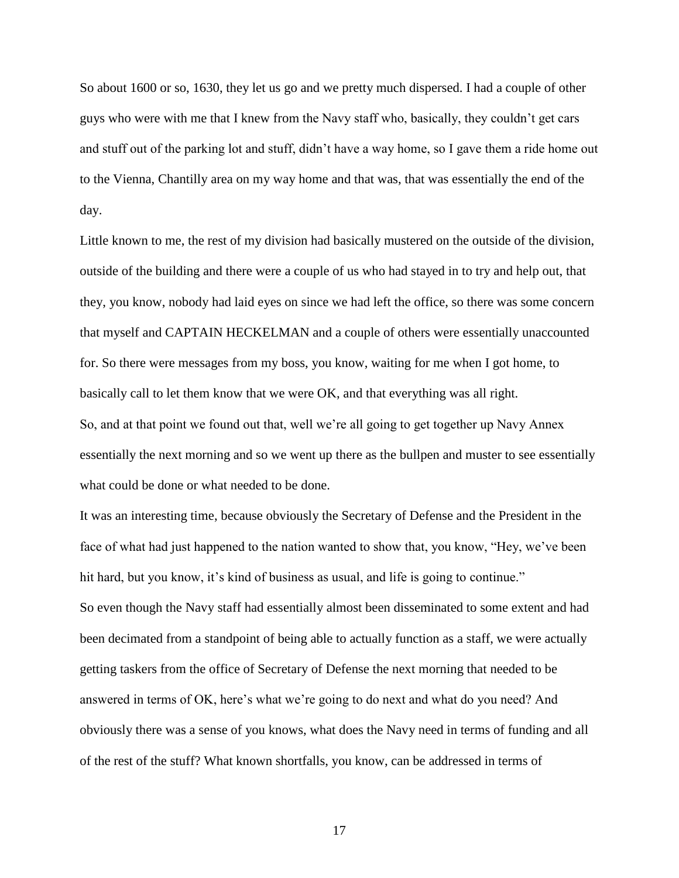So about 1600 or so, 1630, they let us go and we pretty much dispersed. I had a couple of other guys who were with me that I knew from the Navy staff who, basically, they couldn't get cars and stuff out of the parking lot and stuff, didn't have a way home, so I gave them a ride home out to the Vienna, Chantilly area on my way home and that was, that was essentially the end of the day.

Little known to me, the rest of my division had basically mustered on the outside of the division, outside of the building and there were a couple of us who had stayed in to try and help out, that they, you know, nobody had laid eyes on since we had left the office, so there was some concern that myself and CAPTAIN HECKELMAN and a couple of others were essentially unaccounted for. So there were messages from my boss, you know, waiting for me when I got home, to basically call to let them know that we were OK, and that everything was all right. So, and at that point we found out that, well we're all going to get together up Navy Annex essentially the next morning and so we went up there as the bullpen and muster to see essentially what could be done or what needed to be done.

It was an interesting time, because obviously the Secretary of Defense and the President in the face of what had just happened to the nation wanted to show that, you know, "Hey, we've been hit hard, but you know, it's kind of business as usual, and life is going to continue." So even though the Navy staff had essentially almost been disseminated to some extent and had been decimated from a standpoint of being able to actually function as a staff, we were actually getting taskers from the office of Secretary of Defense the next morning that needed to be answered in terms of OK, here's what we're going to do next and what do you need? And obviously there was a sense of you knows, what does the Navy need in terms of funding and all of the rest of the stuff? What known shortfalls, you know, can be addressed in terms of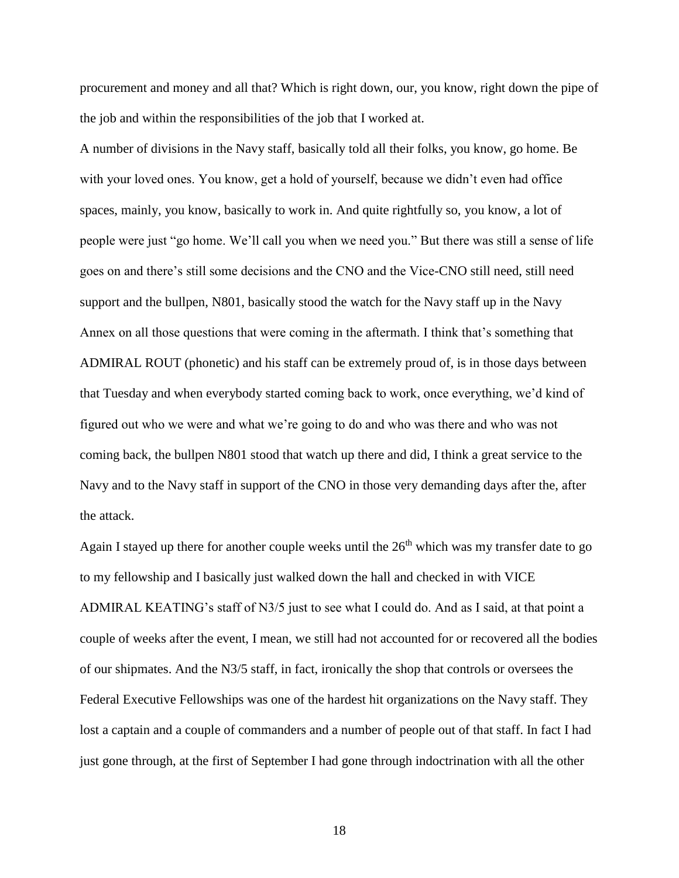procurement and money and all that? Which is right down, our, you know, right down the pipe of the job and within the responsibilities of the job that I worked at.

A number of divisions in the Navy staff, basically told all their folks, you know, go home. Be with your loved ones. You know, get a hold of yourself, because we didn't even had office spaces, mainly, you know, basically to work in. And quite rightfully so, you know, a lot of people were just "go home. We'll call you when we need you." But there was still a sense of life goes on and there's still some decisions and the CNO and the Vice-CNO still need, still need support and the bullpen, N801, basically stood the watch for the Navy staff up in the Navy Annex on all those questions that were coming in the aftermath. I think that's something that ADMIRAL ROUT (phonetic) and his staff can be extremely proud of, is in those days between that Tuesday and when everybody started coming back to work, once everything, we'd kind of figured out who we were and what we're going to do and who was there and who was not coming back, the bullpen N801 stood that watch up there and did, I think a great service to the Navy and to the Navy staff in support of the CNO in those very demanding days after the, after the attack.

Again I stayed up there for another couple weeks until the  $26<sup>th</sup>$  which was my transfer date to go to my fellowship and I basically just walked down the hall and checked in with VICE ADMIRAL KEATING's staff of N3/5 just to see what I could do. And as I said, at that point a couple of weeks after the event, I mean, we still had not accounted for or recovered all the bodies of our shipmates. And the N3/5 staff, in fact, ironically the shop that controls or oversees the Federal Executive Fellowships was one of the hardest hit organizations on the Navy staff. They lost a captain and a couple of commanders and a number of people out of that staff. In fact I had just gone through, at the first of September I had gone through indoctrination with all the other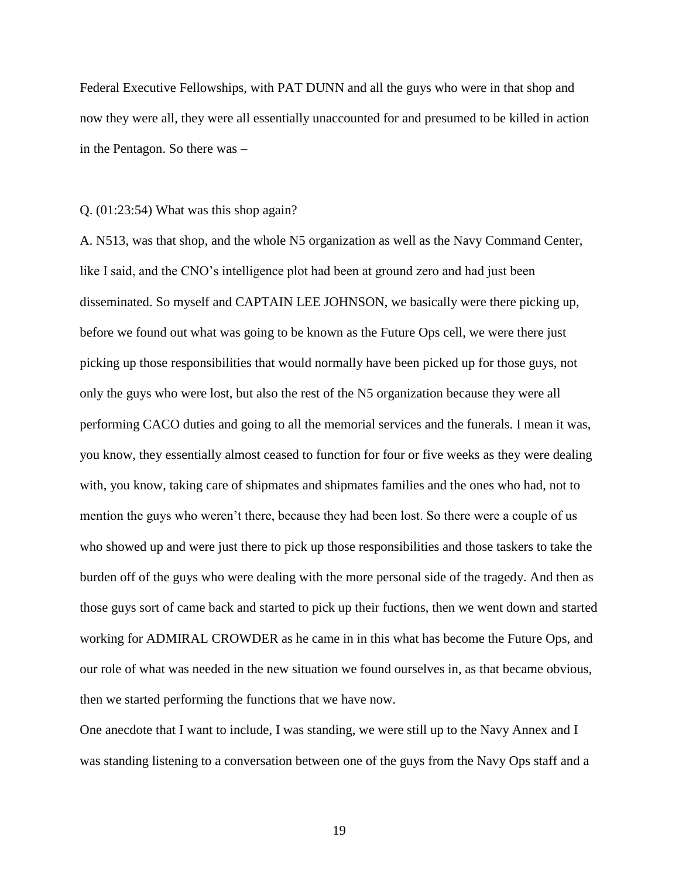Federal Executive Fellowships, with PAT DUNN and all the guys who were in that shop and now they were all, they were all essentially unaccounted for and presumed to be killed in action in the Pentagon. So there was –

#### Q. (01:23:54) What was this shop again?

A. N513, was that shop, and the whole N5 organization as well as the Navy Command Center, like I said, and the CNO's intelligence plot had been at ground zero and had just been disseminated. So myself and CAPTAIN LEE JOHNSON, we basically were there picking up, before we found out what was going to be known as the Future Ops cell, we were there just picking up those responsibilities that would normally have been picked up for those guys, not only the guys who were lost, but also the rest of the N5 organization because they were all performing CACO duties and going to all the memorial services and the funerals. I mean it was, you know, they essentially almost ceased to function for four or five weeks as they were dealing with, you know, taking care of shipmates and shipmates families and the ones who had, not to mention the guys who weren't there, because they had been lost. So there were a couple of us who showed up and were just there to pick up those responsibilities and those taskers to take the burden off of the guys who were dealing with the more personal side of the tragedy. And then as those guys sort of came back and started to pick up their fuctions, then we went down and started working for ADMIRAL CROWDER as he came in in this what has become the Future Ops, and our role of what was needed in the new situation we found ourselves in, as that became obvious, then we started performing the functions that we have now.

One anecdote that I want to include, I was standing, we were still up to the Navy Annex and I was standing listening to a conversation between one of the guys from the Navy Ops staff and a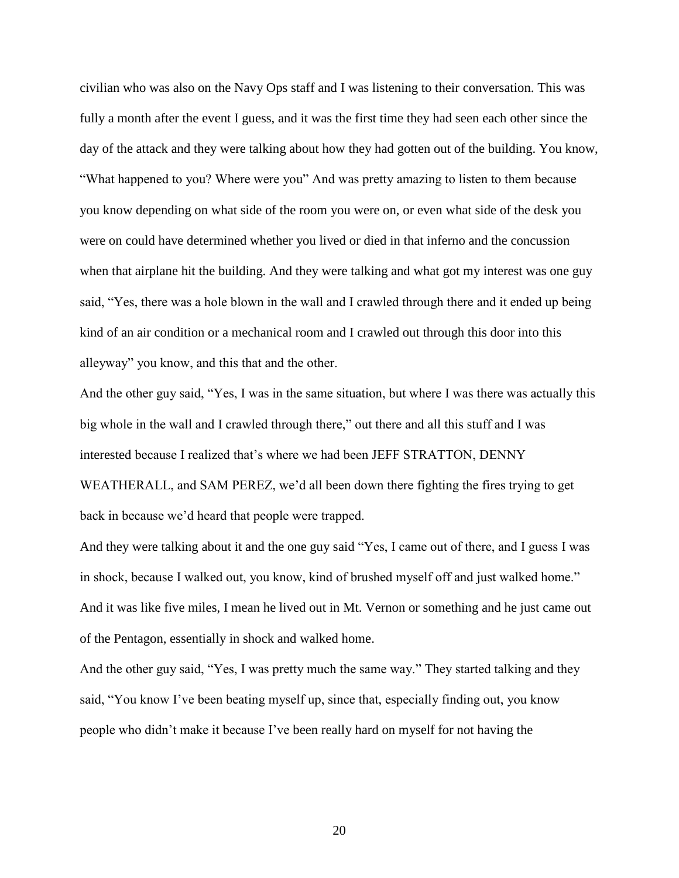civilian who was also on the Navy Ops staff and I was listening to their conversation. This was fully a month after the event I guess, and it was the first time they had seen each other since the day of the attack and they were talking about how they had gotten out of the building. You know, "What happened to you? Where were you" And was pretty amazing to listen to them because you know depending on what side of the room you were on, or even what side of the desk you were on could have determined whether you lived or died in that inferno and the concussion when that airplane hit the building. And they were talking and what got my interest was one guy said, "Yes, there was a hole blown in the wall and I crawled through there and it ended up being kind of an air condition or a mechanical room and I crawled out through this door into this alleyway" you know, and this that and the other.

And the other guy said, "Yes, I was in the same situation, but where I was there was actually this big whole in the wall and I crawled through there," out there and all this stuff and I was interested because I realized that's where we had been JEFF STRATTON, DENNY WEATHERALL, and SAM PEREZ, we'd all been down there fighting the fires trying to get back in because we'd heard that people were trapped.

And they were talking about it and the one guy said "Yes, I came out of there, and I guess I was in shock, because I walked out, you know, kind of brushed myself off and just walked home." And it was like five miles, I mean he lived out in Mt. Vernon or something and he just came out of the Pentagon, essentially in shock and walked home.

And the other guy said, "Yes, I was pretty much the same way." They started talking and they said, "You know I've been beating myself up, since that, especially finding out, you know people who didn't make it because I've been really hard on myself for not having the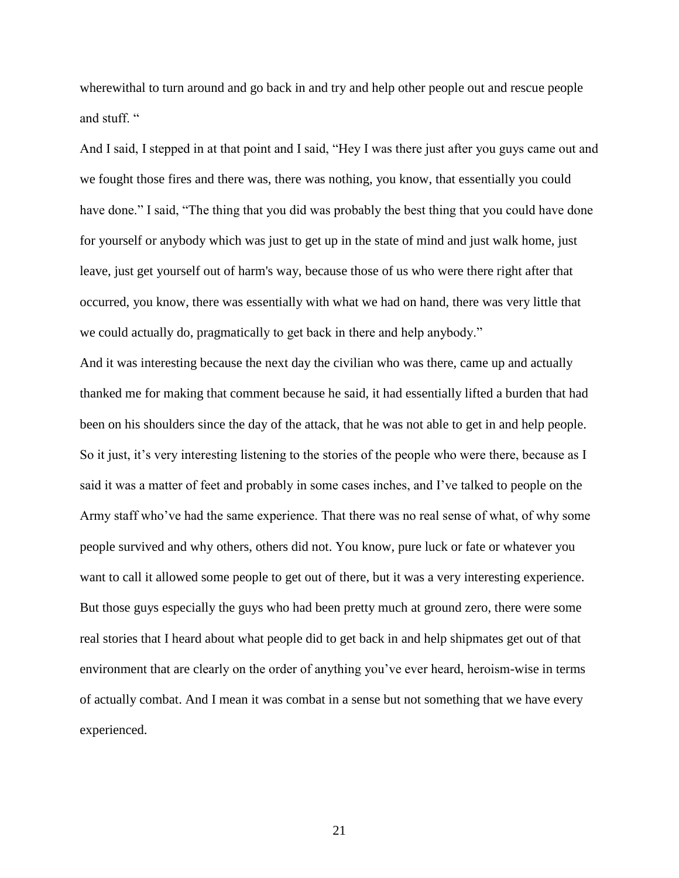wherewithal to turn around and go back in and try and help other people out and rescue people and stuff. "

And I said, I stepped in at that point and I said, "Hey I was there just after you guys came out and we fought those fires and there was, there was nothing, you know, that essentially you could have done." I said, "The thing that you did was probably the best thing that you could have done for yourself or anybody which was just to get up in the state of mind and just walk home, just leave, just get yourself out of harm's way, because those of us who were there right after that occurred, you know, there was essentially with what we had on hand, there was very little that we could actually do, pragmatically to get back in there and help anybody."

And it was interesting because the next day the civilian who was there, came up and actually thanked me for making that comment because he said, it had essentially lifted a burden that had been on his shoulders since the day of the attack, that he was not able to get in and help people. So it just, it's very interesting listening to the stories of the people who were there, because as I said it was a matter of feet and probably in some cases inches, and I've talked to people on the Army staff who've had the same experience. That there was no real sense of what, of why some people survived and why others, others did not. You know, pure luck or fate or whatever you want to call it allowed some people to get out of there, but it was a very interesting experience. But those guys especially the guys who had been pretty much at ground zero, there were some real stories that I heard about what people did to get back in and help shipmates get out of that environment that are clearly on the order of anything you've ever heard, heroism-wise in terms of actually combat. And I mean it was combat in a sense but not something that we have every experienced.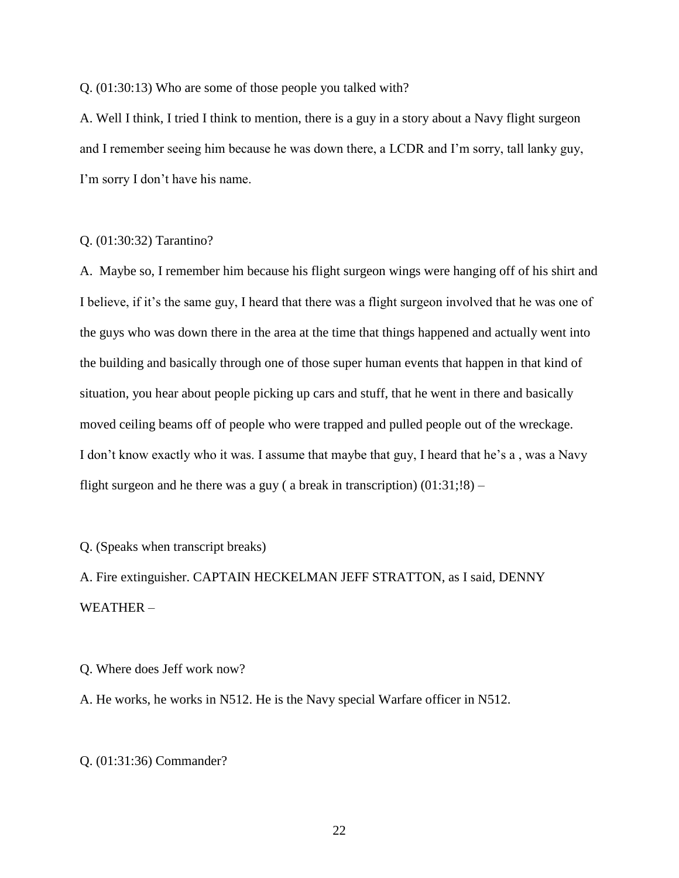Q. (01:30:13) Who are some of those people you talked with?

A. Well I think, I tried I think to mention, there is a guy in a story about a Navy flight surgeon and I remember seeing him because he was down there, a LCDR and I'm sorry, tall lanky guy, I'm sorry I don't have his name.

#### Q. (01:30:32) Tarantino?

A. Maybe so, I remember him because his flight surgeon wings were hanging off of his shirt and I believe, if it's the same guy, I heard that there was a flight surgeon involved that he was one of the guys who was down there in the area at the time that things happened and actually went into the building and basically through one of those super human events that happen in that kind of situation, you hear about people picking up cars and stuff, that he went in there and basically moved ceiling beams off of people who were trapped and pulled people out of the wreckage. I don't know exactly who it was. I assume that maybe that guy, I heard that he's a , was a Navy flight surgeon and he there was a guy ( a break in transcription)  $(01:31:18)$  –

Q. (Speaks when transcript breaks)

A. Fire extinguisher. CAPTAIN HECKELMAN JEFF STRATTON, as I said, DENNY WEATHER –

Q. Where does Jeff work now?

A. He works, he works in N512. He is the Navy special Warfare officer in N512.

Q. (01:31:36) Commander?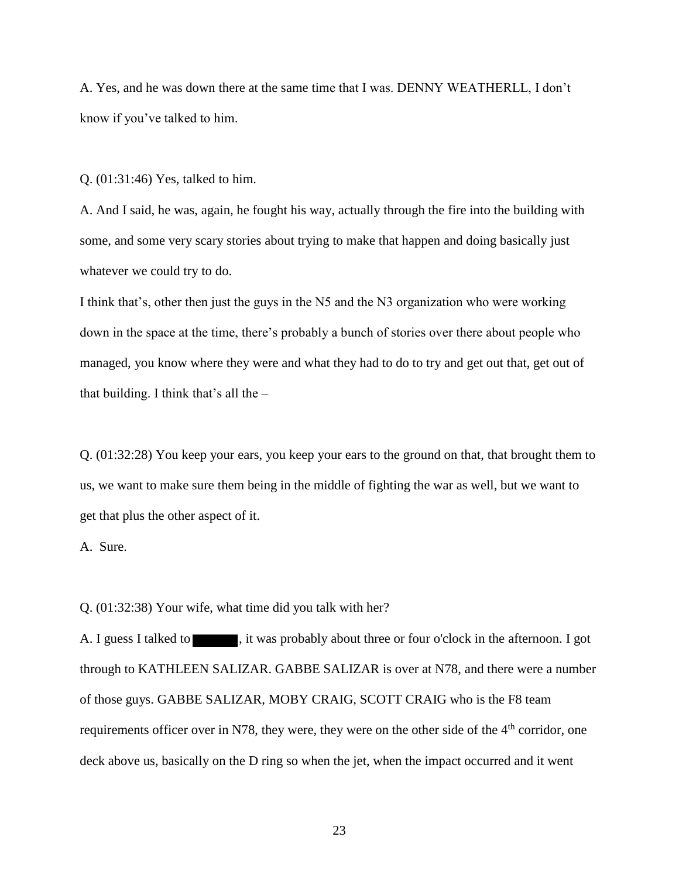A. Yes, and he was down there at the same time that I was. DENNY WEATHERLL, I don't know if you've talked to him.

Q. (01:31:46) Yes, talked to him.

A. And I said, he was, again, he fought his way, actually through the fire into the building with some, and some very scary stories about trying to make that happen and doing basically just whatever we could try to do.

I think that's, other then just the guys in the N5 and the N3 organization who were working down in the space at the time, there's probably a bunch of stories over there about people who managed, you know where they were and what they had to do to try and get out that, get out of that building. I think that's all the –

Q. (01:32:28) You keep your ears, you keep your ears to the ground on that, that brought them to us, we want to make sure them being in the middle of fighting the war as well, but we want to get that plus the other aspect of it.

A. Sure.

Q. (01:32:38) Your wife, what time did you talk with her?

A. I guess I talked to  $\blacksquare$ , it was probably about three or four o'clock in the afternoon. I got through to KATHLEEN SALIZAR. GABBE SALIZAR is over at N78, and there were a number of those guys. GABBE SALIZAR, MOBY CRAIG, SCOTT CRAIG who is the F8 team requirements officer over in N78, they were, they were on the other side of the 4<sup>th</sup> corridor, one deck above us, basically on the D ring so when the jet, when the impact occurred and it went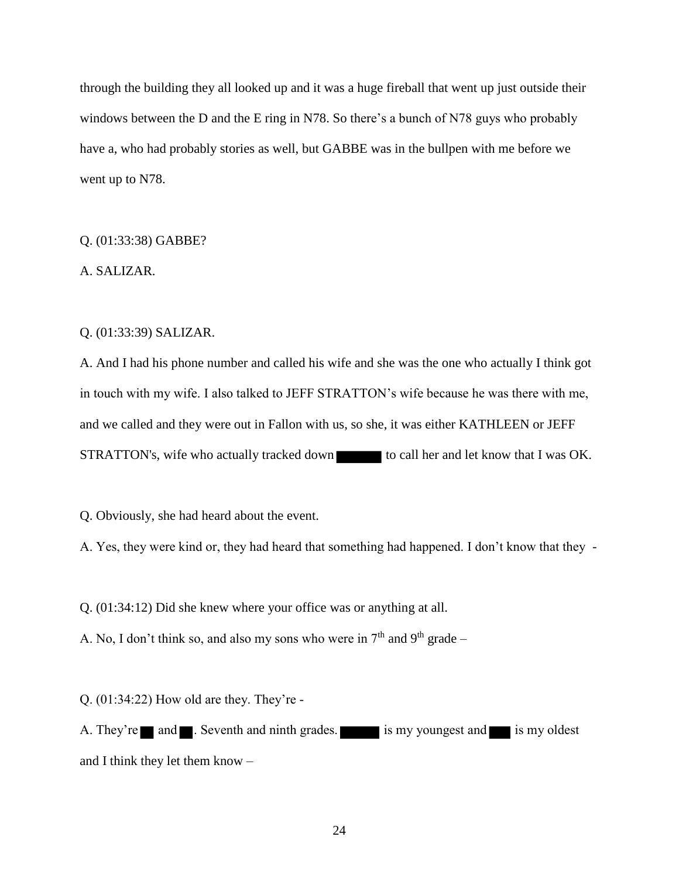through the building they all looked up and it was a huge fireball that went up just outside their windows between the D and the E ring in N78. So there's a bunch of N78 guys who probably have a, who had probably stories as well, but GABBE was in the bullpen with me before we went up to N78.

### Q. (01:33:38) GABBE?

A. SALIZAR.

### Q. (01:33:39) SALIZAR.

A. And I had his phone number and called his wife and she was the one who actually I think got in touch with my wife. I also talked to JEFF STRATTON's wife because he was there with me, and we called and they were out in Fallon with us, so she, it was either KATHLEEN or JEFF STRATTON's, wife who actually tracked down to call her and let know that I was OK.

Q. Obviously, she had heard about the event.

A. Yes, they were kind or, they had heard that something had happened. I don't know that they -

Q. (01:34:12) Did she knew where your office was or anything at all.

A. No, I don't think so, and also my sons who were in  $7<sup>th</sup>$  and  $9<sup>th</sup>$  grade –

Q. (01:34:22) How old are they. They're -

A. They're and **A.** Seventh and ninth grades. is my youngest and is my oldest and I think they let them know –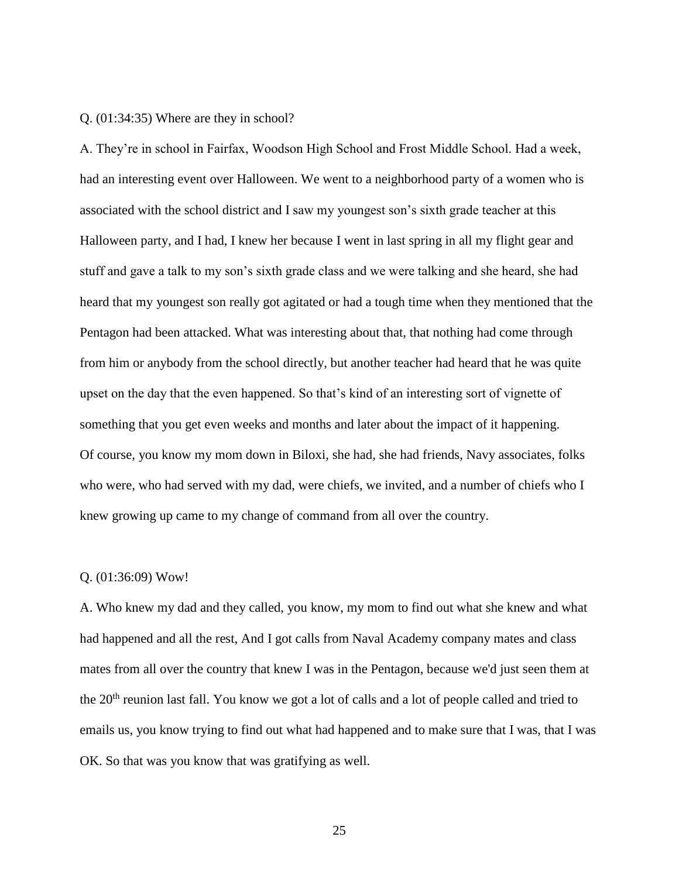#### Q. (01:34:35) Where are they in school?

A. They're in school in Fairfax, Woodson High School and Frost Middle School. Had a week, had an interesting event over Halloween. We went to a neighborhood party of a women who is associated with the school district and I saw my youngest son's sixth grade teacher at this Halloween party, and I had, I knew her because I went in last spring in all my flight gear and stuff and gave a talk to my son's sixth grade class and we were talking and she heard, she had heard that my youngest son really got agitated or had a tough time when they mentioned that the Pentagon had been attacked. What was interesting about that, that nothing had come through from him or anybody from the school directly, but another teacher had heard that he was quite upset on the day that the even happened. So that's kind of an interesting sort of vignette of something that you get even weeks and months and later about the impact of it happening. Of course, you know my mom down in Biloxi, she had, she had friends, Navy associates, folks who were, who had served with my dad, were chiefs, we invited, and a number of chiefs who I knew growing up came to my change of command from all over the country.

#### Q. (01:36:09) Wow!

A. Who knew my dad and they called, you know, my mom to find out what she knew and what had happened and all the rest, And I got calls from Naval Academy company mates and class mates from all over the country that knew I was in the Pentagon, because we'd just seen them at the 20<sup>th</sup> reunion last fall. You know we got a lot of calls and a lot of people called and tried to emails us, you know trying to find out what had happened and to make sure that I was, that I was OK. So that was you know that was gratifying as well.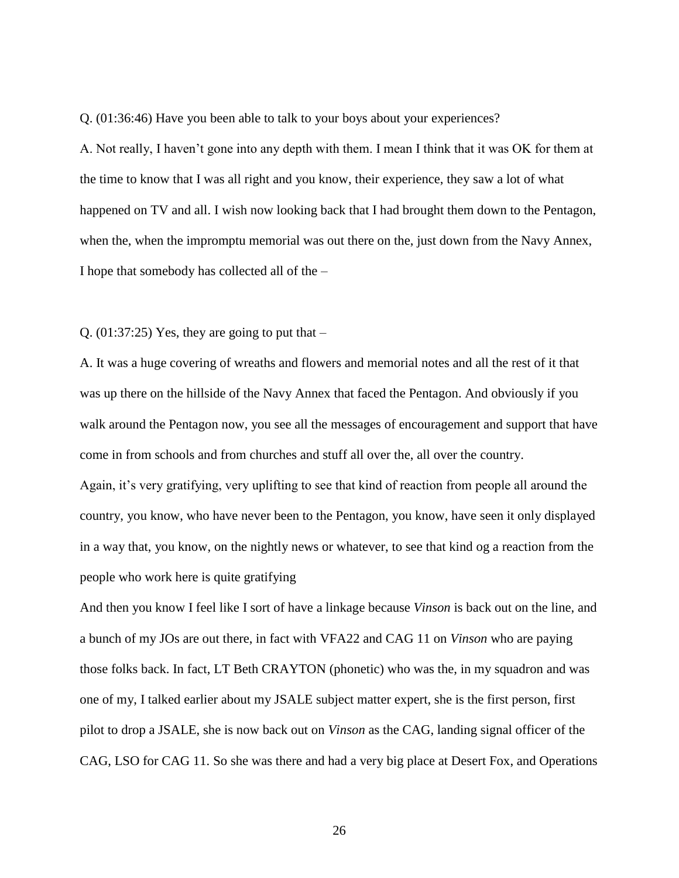Q. (01:36:46) Have you been able to talk to your boys about your experiences?

A. Not really, I haven't gone into any depth with them. I mean I think that it was OK for them at the time to know that I was all right and you know, their experience, they saw a lot of what happened on TV and all. I wish now looking back that I had brought them down to the Pentagon, when the, when the impromptu memorial was out there on the, just down from the Navy Annex, I hope that somebody has collected all of the –

Q.  $(01:37:25)$  Yes, they are going to put that –

A. It was a huge covering of wreaths and flowers and memorial notes and all the rest of it that was up there on the hillside of the Navy Annex that faced the Pentagon. And obviously if you walk around the Pentagon now, you see all the messages of encouragement and support that have come in from schools and from churches and stuff all over the, all over the country. Again, it's very gratifying, very uplifting to see that kind of reaction from people all around the country, you know, who have never been to the Pentagon, you know, have seen it only displayed in a way that, you know, on the nightly news or whatever, to see that kind og a reaction from the people who work here is quite gratifying

And then you know I feel like I sort of have a linkage because *Vinson* is back out on the line, and a bunch of my JOs are out there, in fact with VFA22 and CAG 11 on *Vinson* who are paying those folks back. In fact, LT Beth CRAYTON (phonetic) who was the, in my squadron and was one of my, I talked earlier about my JSALE subject matter expert, she is the first person, first pilot to drop a JSALE, she is now back out on *Vinson* as the CAG, landing signal officer of the CAG, LSO for CAG 11. So she was there and had a very big place at Desert Fox, and Operations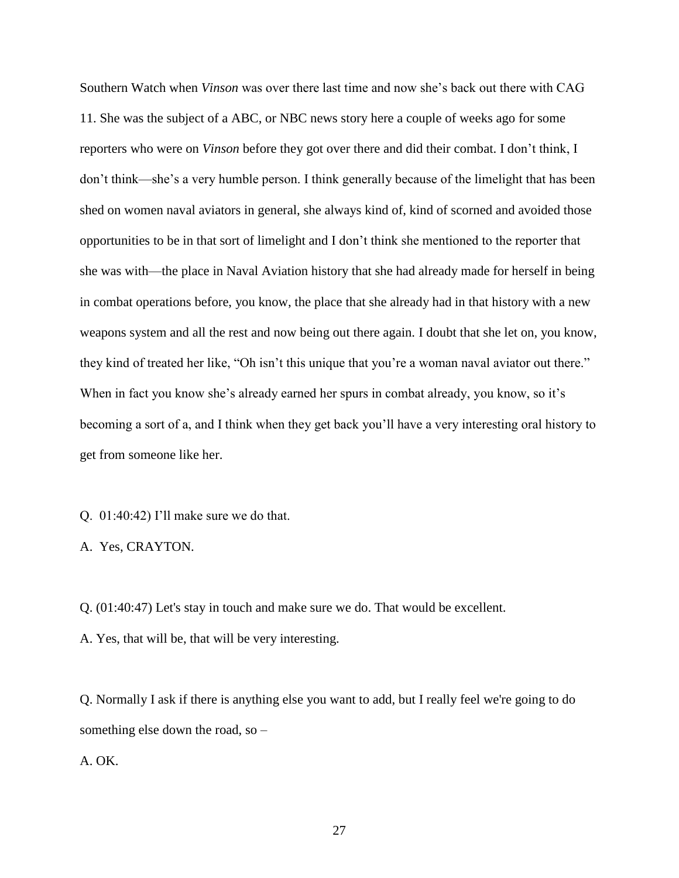Southern Watch when *Vinson* was over there last time and now she's back out there with CAG 11. She was the subject of a ABC, or NBC news story here a couple of weeks ago for some reporters who were on *Vinson* before they got over there and did their combat. I don't think, I don't think—she's a very humble person. I think generally because of the limelight that has been shed on women naval aviators in general, she always kind of, kind of scorned and avoided those opportunities to be in that sort of limelight and I don't think she mentioned to the reporter that she was with—the place in Naval Aviation history that she had already made for herself in being in combat operations before, you know, the place that she already had in that history with a new weapons system and all the rest and now being out there again. I doubt that she let on, you know, they kind of treated her like, "Oh isn't this unique that you're a woman naval aviator out there." When in fact you know she's already earned her spurs in combat already, you know, so it's becoming a sort of a, and I think when they get back you'll have a very interesting oral history to get from someone like her.

- Q. 01:40:42) I'll make sure we do that.
- A. Yes, CRAYTON.

Q. (01:40:47) Let's stay in touch and make sure we do. That would be excellent.

A. Yes, that will be, that will be very interesting.

Q. Normally I ask if there is anything else you want to add, but I really feel we're going to do something else down the road, so –

### A. OK.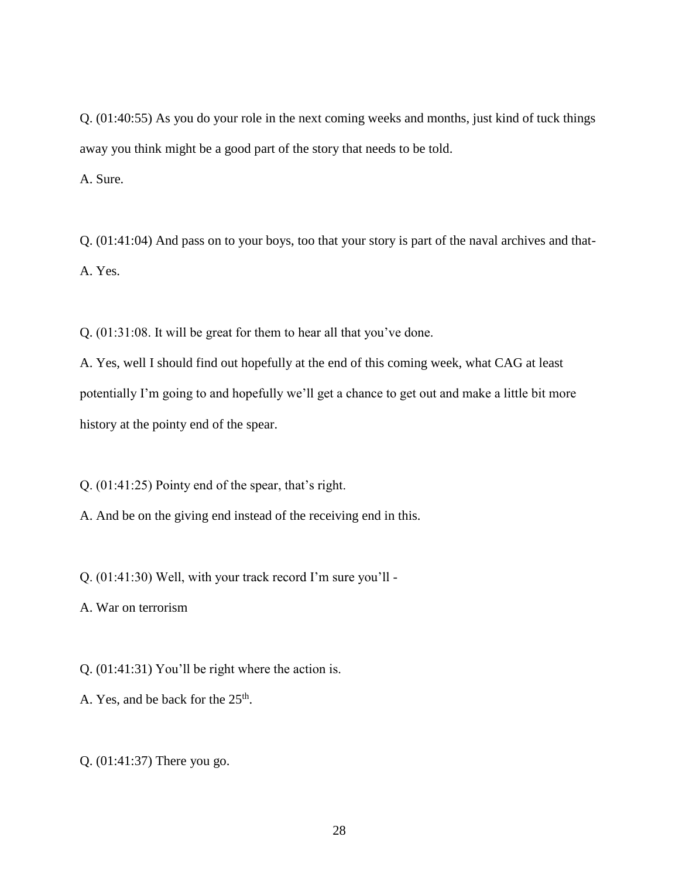Q. (01:40:55) As you do your role in the next coming weeks and months, just kind of tuck things away you think might be a good part of the story that needs to be told. A. Sure.

Q. (01:41:04) And pass on to your boys, too that your story is part of the naval archives and that-A. Yes.

Q. (01:31:08. It will be great for them to hear all that you've done.

A. Yes, well I should find out hopefully at the end of this coming week, what CAG at least potentially I'm going to and hopefully we'll get a chance to get out and make a little bit more history at the pointy end of the spear.

Q. (01:41:25) Pointy end of the spear, that's right.

A. And be on the giving end instead of the receiving end in this.

Q. (01:41:30) Well, with your track record I'm sure you'll -

A. War on terrorism

Q. (01:41:31) You'll be right where the action is.

A. Yes, and be back for the  $25<sup>th</sup>$ .

Q. (01:41:37) There you go.